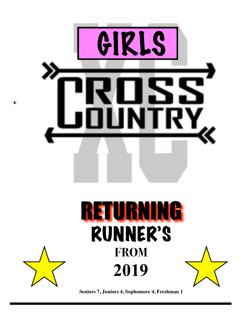

**Seniors 7, Juniors 4, Sophomore 4, Freshman 1**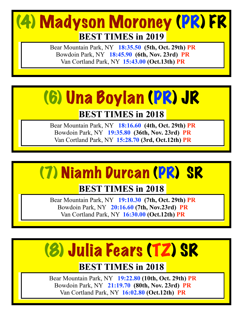## (4) Madyson Moroney (PR) FR **BEST TIMES in 2019**

Bear Mountain Park, NY **18:35.50 (5th, Oct. 29th) PR** Bowdoin Park, NY **18:45.90 (6th, Nov. 23rd) PR** Van Cortland Park, NY **15:43.00 (Oct.13th) PR** 

## (6) Una Boylan (PR) JR

### **BEST TIMES in 2018**

Bear Mountain Park, NY **18:16.60 (4th, Oct. 29th) PR**  Bowdoin Park, NY **19:35.80 (36th, Nov. 23rd) PR** Van Cortland Park, NY **15:28.70 (3rd, Oct.12th) PR**

## (7) Niamh Durcan (PR) SR

### **BEST TIMES in 2018**

Bear Mountain Park, NY **19:10.30 (7th, Oct. 29th) PR**  Bowdoin Park, NY **20:16.60 (7th, Nov.23rd) PR** Van Cortland Park, NY **16:30.00 (Oct.12th) PR**

## (8) Julia Fears (TZ) SR

### **BEST TIMES in 2018**

Bear Mountain Park, NY **19:22.80 (10th, Oct. 29th) PR**  Bowdoin Park, NY **21:19.70 (80th, Nov. 23rd) PR**  Van Cortland Park, NY **16:02.80 (Oct.12th) PR**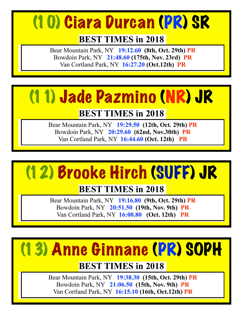## (10) Ciara Durcan (PR) SR

### **BEST TIMES in 2018**

Bear Mountain Park, NY **19:12.60 (8th, Oct. 29th) PR**  Bowdoin Park, NY **21:48.60 (175th, Nov. 23rd) PR** Van Cortland Park, NY **16:27.20 (Oct.12th) PR**

## (11) Jade Pazmino (NR) JR

### **BEST TIMES in 2018**

Bear Mountain Park, NY **19:29.50 (12th, Oct. 29th) PR** Bowdoin Park, NY **20:29.60 (62nd, Nov.30th) PR** Van Cortland Park, NY **16:44.60 (Oct. 12th) PR**



## **BEST TIMES in 2018**

Bear Mountain Park, NY **19:16.80 (9th, Oct. 29th) PR** Bowdoin Park, NY **20:51.50 (19th, Nov. 9th) PR** Van Cortland Park, NY **16:00.80 (Oct. 12th) PR**

# (13) Anne Ginnane (PR) SOPH

## **BEST TIMES in 2018**

Bear Mountain Park, NY **19:38.30 (15th, Oct. 29th) PR**  Bowdoin Park, NY **21:06.50 (15th, Nov. 9th) PR** Van Cortland Park, NY **16:15.10 (16th, Oct.12th) PR**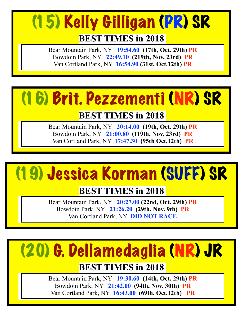## (15) Kelly Gilligan (PR) SR**BEST TIMES in 2018**

Bear Mountain Park, NY **19:54.60 (17th, Oct. 29th) PR**  Bowdoin Park, NY **22:49.10 (219th, Nov. 23rd) PR** Van Cortland Park, NY **16:54.90 (31st, Oct.12th) PR**



### **BEST TIMES in 2018**

Bear Mountain Park, NY **20:14.00 (19th, Oct. 29th) PR** Bowdoin Park, NY **21:00.80 (119th, Nov. 23rd) PR**  Van Cortland Park, NY **17:47.30 (95th Oct.12th) PR**

## (19) Jessica Korman (SUFF) SR

### **BEST TIMES in 2018**

Bear Mountain Park, NY **20:27.00 (22nd, Oct. 29th) PR** Bowdoin Park, NY **21:26.20 (29th, Nov. 9th) PR** Van Cortland Park, NY **DID NOT RACE** 

# (20) G. Dellamedaglia (NR) JR

#### **BEST TIMES in 2018**

Bear Mountain Park, NY **19:30.60 (14th, Oct. 29th) PR** Bowdoin Park, NY **21:42.00 (94th, Nov. 30th) PR** Van Cortland Park, NY **16:43.00 (69th, Oct.12th) PR**